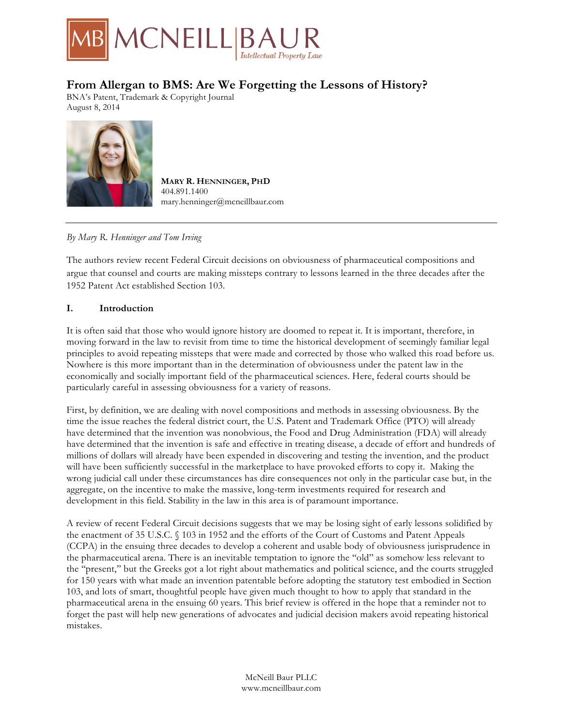

# **From Allergan to BMS: Are We Forgetting the Lessons of History?**

BNA's Patent, Trademark & Copyright Journal August 8, 2014



**MARY R. HENNINGER, PHD** 404.891.1400 mary.henninger@mcneillbaur.com

# *By Mary R. Henninger and Tom Irving*

The authors review recent Federal Circuit decisions on obviousness of pharmaceutical compositions and argue that counsel and courts are making missteps contrary to lessons learned in the three decades after the 1952 Patent Act established Section 103.

## **I. Introduction**

It is often said that those who would ignore history are doomed to repeat it. It is important, therefore, in moving forward in the law to revisit from time to time the historical development of seemingly familiar legal principles to avoid repeating missteps that were made and corrected by those who walked this road before us. Nowhere is this more important than in the determination of obviousness under the patent law in the economically and socially important field of the pharmaceutical sciences. Here, federal courts should be particularly careful in assessing obviousness for a variety of reasons.

First, by definition, we are dealing with novel compositions and methods in assessing obviousness. By the time the issue reaches the federal district court, the U.S. Patent and Trademark Office (PTO) will already have determined that the invention was nonobvious, the Food and Drug Administration (FDA) will already have determined that the invention is safe and effective in treating disease, a decade of effort and hundreds of millions of dollars will already have been expended in discovering and testing the invention, and the product will have been sufficiently successful in the marketplace to have provoked efforts to copy it. Making the wrong judicial call under these circumstances has dire consequences not only in the particular case but, in the aggregate, on the incentive to make the massive, long-term investments required for research and development in this field. Stability in the law in this area is of paramount importance.

A review of recent Federal Circuit decisions suggests that we may be losing sight of early lessons solidified by the enactment of 35 U.S.C. § 103 in 1952 and the efforts of the Court of Customs and Patent Appeals (CCPA) in the ensuing three decades to develop a coherent and usable body of obviousness jurisprudence in the pharmaceutical arena. There is an inevitable temptation to ignore the ''old'' as somehow less relevant to the ''present,'' but the Greeks got a lot right about mathematics and political science, and the courts struggled for 150 years with what made an invention patentable before adopting the statutory test embodied in Section 103, and lots of smart, thoughtful people have given much thought to how to apply that standard in the pharmaceutical arena in the ensuing 60 years. This brief review is offered in the hope that a reminder not to forget the past will help new generations of advocates and judicial decision makers avoid repeating historical mistakes.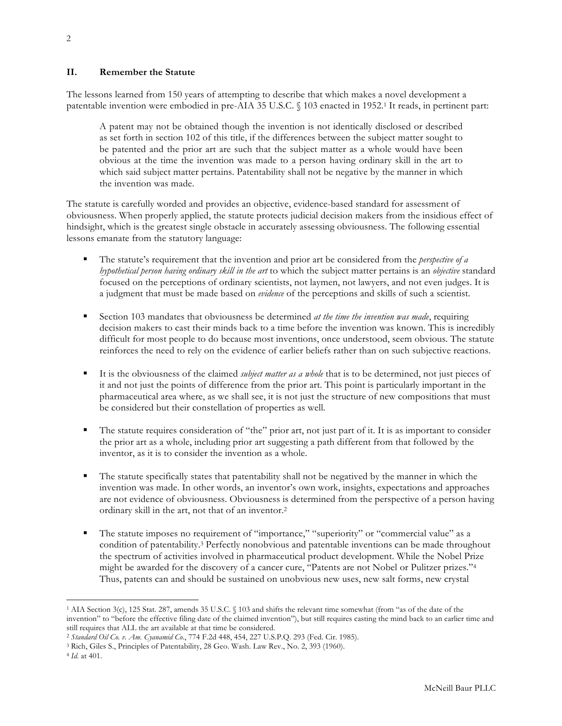### **II. Remember the Statute**

The lessons learned from 150 years of attempting to describe that which makes a novel development a patentable invention were embodied in pre-AIA 35 U.S.C. § 103 enacted in 1952.1 It reads, in pertinent part:

A patent may not be obtained though the invention is not identically disclosed or described as set forth in section 102 of this title, if the differences between the subject matter sought to be patented and the prior art are such that the subject matter as a whole would have been obvious at the time the invention was made to a person having ordinary skill in the art to which said subject matter pertains. Patentability shall not be negative by the manner in which the invention was made.

The statute is carefully worded and provides an objective, evidence-based standard for assessment of obviousness. When properly applied, the statute protects judicial decision makers from the insidious effect of hindsight, which is the greatest single obstacle in accurately assessing obviousness. The following essential lessons emanate from the statutory language:

- § The statute's requirement that the invention and prior art be considered from the *perspective of a hypothetical person having ordinary skill in the art* to which the subject matter pertains is an *objective* standard focused on the perceptions of ordinary scientists, not laymen, not lawyers, and not even judges. It is a judgment that must be made based on *evidence* of the perceptions and skills of such a scientist.
- Section 103 mandates that obviousness be determined *at the time the invention was made*, requiring decision makers to cast their minds back to a time before the invention was known. This is incredibly difficult for most people to do because most inventions, once understood, seem obvious. The statute reinforces the need to rely on the evidence of earlier beliefs rather than on such subjective reactions.
- It is the obviousness of the claimed *subject matter as a whole* that is to be determined, not just pieces of it and not just the points of difference from the prior art. This point is particularly important in the pharmaceutical area where, as we shall see, it is not just the structure of new compositions that must be considered but their constellation of properties as well.
- The statute requires consideration of "the" prior art, not just part of it. It is as important to consider the prior art as a whole, including prior art suggesting a path different from that followed by the inventor, as it is to consider the invention as a whole.
- The statute specifically states that patentability shall not be negatived by the manner in which the invention was made. In other words, an inventor's own work, insights, expectations and approaches are not evidence of obviousness. Obviousness is determined from the perspective of a person having ordinary skill in the art, not that of an inventor.2
- The statute imposes no requirement of "importance," "superiority" or "commercial value" as a condition of patentability.3 Perfectly nonobvious and patentable inventions can be made throughout the spectrum of activities involved in pharmaceutical product development. While the Nobel Prize might be awarded for the discovery of a cancer cure, "Patents are not Nobel or Pulitzer prizes."4 Thus, patents can and should be sustained on unobvious new uses, new salt forms, new crystal

<sup>1</sup> AIA Section 3(c), 125 Stat. 287, amends 35 U.S.C. § 103 and shifts the relevant time somewhat (from "as of the date of the invention" to "before the effective filing date of the claimed invention"), but still requires casting the mind back to an earlier time and still requires that ALL the art available at that time be considered.

<sup>2</sup> *Standard Oil Co. v. Am. Cyanamid Co*., 774 F.2d 448, 454, 227 U.S.P.Q. 293 (Fed. Cir. 1985).

<sup>3</sup> Rich, Giles S., Principles of Patentability, 28 Geo. Wash. Law Rev., No. 2, 393 (1960).

<sup>4</sup> *Id*. at 401.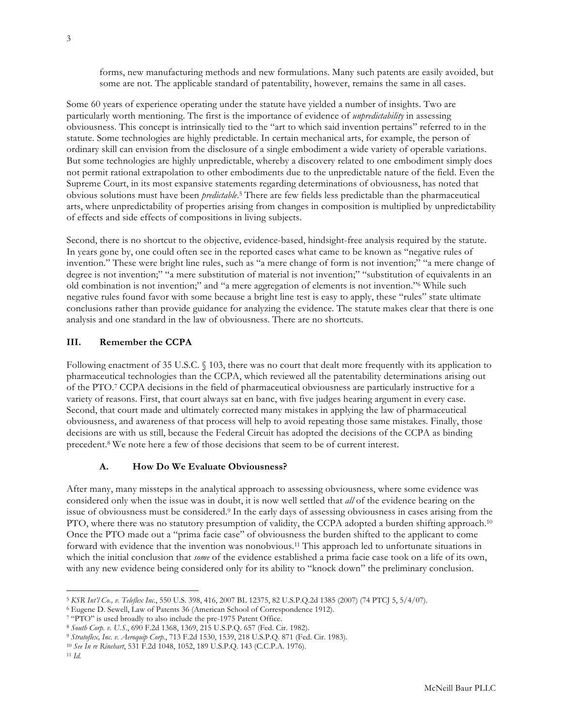forms, new manufacturing methods and new formulations. Many such patents are easily avoided, but some are not. The applicable standard of patentability, however, remains the same in all cases.

Some 60 years of experience operating under the statute have yielded a number of insights. Two are particularly worth mentioning. The first is the importance of evidence of *unpredictability* in assessing obviousness. This concept is intrinsically tied to the "art to which said invention pertains" referred to in the statute. Some technologies are highly predictable. In certain mechanical arts, for example, the person of ordinary skill can envision from the disclosure of a single embodiment a wide variety of operable variations. But some technologies are highly unpredictable, whereby a discovery related to one embodiment simply does not permit rational extrapolation to other embodiments due to the unpredictable nature of the field. Even the Supreme Court, in its most expansive statements regarding determinations of obviousness, has noted that obvious solutions must have been *predictable*.5 There are few fields less predictable than the pharmaceutical arts, where unpredictability of properties arising from changes in composition is multiplied by unpredictability of effects and side effects of compositions in living subjects.

Second, there is no shortcut to the objective, evidence-based, hindsight-free analysis required by the statute. In years gone by, one could often see in the reported cases what came to be known as "negative rules of invention." These were bright line rules, such as "a mere change of form is not invention;" "a mere change of degree is not invention;" "a mere substitution of material is not invention;" "substitution of equivalents in an old combination is not invention;" and "a mere aggregation of elements is not invention."6 While such negative rules found favor with some because a bright line test is easy to apply, these "rules" state ultimate conclusions rather than provide guidance for analyzing the evidence. The statute makes clear that there is one analysis and one standard in the law of obviousness. There are no shortcuts.

#### **III. Remember the CCPA**

Following enactment of 35 U.S.C. § 103, there was no court that dealt more frequently with its application to pharmaceutical technologies than the CCPA, which reviewed all the patentability determinations arising out of the PTO.7 CCPA decisions in the field of pharmaceutical obviousness are particularly instructive for a variety of reasons. First, that court always sat en banc, with five judges hearing argument in every case. Second, that court made and ultimately corrected many mistakes in applying the law of pharmaceutical obviousness, and awareness of that process will help to avoid repeating those same mistakes. Finally, those decisions are with us still, because the Federal Circuit has adopted the decisions of the CCPA as binding precedent.8 We note here a few of those decisions that seem to be of current interest.

#### **A. How Do We Evaluate Obviousness?**

After many, many missteps in the analytical approach to assessing obviousness, where some evidence was considered only when the issue was in doubt, it is now well settled that *all* of the evidence bearing on the issue of obviousness must be considered.9 In the early days of assessing obviousness in cases arising from the PTO, where there was no statutory presumption of validity, the CCPA adopted a burden shifting approach.<sup>10</sup> Once the PTO made out a "prima facie case" of obviousness the burden shifted to the applicant to come forward with evidence that the invention was nonobvious.11 This approach led to unfortunate situations in which the initial conclusion that *some* of the evidence established a prima facie case took on a life of its own, with any new evidence being considered only for its ability to "knock down" the preliminary conclusion.

<sup>5</sup> *KSR Int'l Co., v. Teleflex Inc*., 550 U.S. 398, 416, 2007 BL 12375, 82 U.S.P.Q.2d 1385 (2007) (74 PTCJ 5, 5/4/07).

<sup>6</sup> Eugene D. Sewell, Law of Patents 36 (American School of Correspondence 1912).

<sup>7</sup> "PTO" is used broadly to also include the pre-1975 Patent Office.

<sup>8</sup> *South Corp. v. U.S*., 690 F.2d 1368, 1369, 215 U.S.P.Q. 657 (Fed. Cir. 1982).

<sup>9</sup> *Stratoflex, Inc. v. Aeroquip Corp*., 713 F.2d 1530, 1539, 218 U.S.P.Q. 871 (Fed. Cir. 1983).

<sup>10</sup> *See In re Rinehart*, 531 F.2d 1048, 1052, 189 U.S.P.Q. 143 (C.C.P.A. 1976).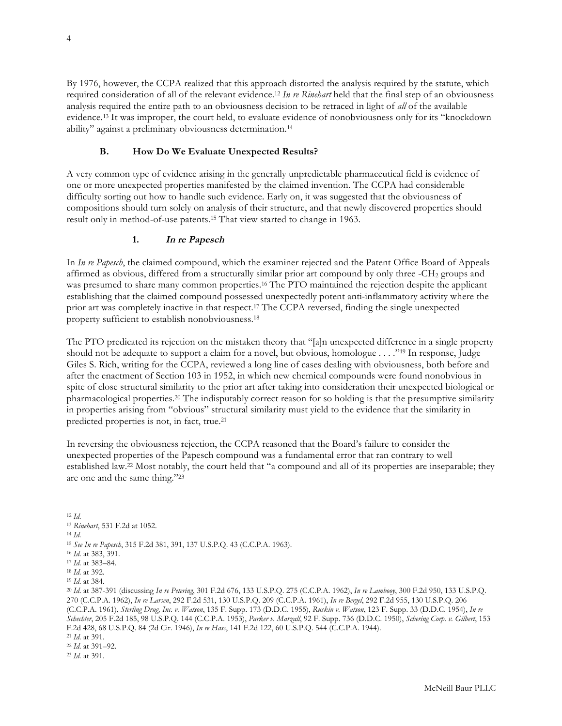By 1976, however, the CCPA realized that this approach distorted the analysis required by the statute, which required consideration of all of the relevant evidence.12 *In re Rinehart* held that the final step of an obviousness analysis required the entire path to an obviousness decision to be retraced in light of *all* of the available evidence.13 It was improper, the court held, to evaluate evidence of nonobviousness only for its "knockdown ability" against a preliminary obviousness determination.14

# **B. How Do We Evaluate Unexpected Results?**

A very common type of evidence arising in the generally unpredictable pharmaceutical field is evidence of one or more unexpected properties manifested by the claimed invention. The CCPA had considerable difficulty sorting out how to handle such evidence. Early on, it was suggested that the obviousness of compositions should turn solely on analysis of their structure, and that newly discovered properties should result only in method-of-use patents.15 That view started to change in 1963.

# **1. In re Papesch**

In *In re Papesch*, the claimed compound, which the examiner rejected and the Patent Office Board of Appeals affirmed as obvious, differed from a structurally similar prior art compound by only three -CH<sub>2</sub> groups and was presumed to share many common properties.16 The PTO maintained the rejection despite the applicant establishing that the claimed compound possessed unexpectedly potent anti-inflammatory activity where the prior art was completely inactive in that respect.17 The CCPA reversed, finding the single unexpected property sufficient to establish nonobviousness.18

The PTO predicated its rejection on the mistaken theory that "[a]n unexpected difference in a single property should not be adequate to support a claim for a novel, but obvious, homologue . . . ."19 In response, Judge Giles S. Rich, writing for the CCPA, reviewed a long line of cases dealing with obviousness, both before and after the enactment of Section 103 in 1952, in which new chemical compounds were found nonobvious in spite of close structural similarity to the prior art after taking into consideration their unexpected biological or pharmacological properties.20 The indisputably correct reason for so holding is that the presumptive similarity in properties arising from "obvious" structural similarity must yield to the evidence that the similarity in predicted properties is not, in fact, true.21

In reversing the obviousness rejection, the CCPA reasoned that the Board's failure to consider the unexpected properties of the Papesch compound was a fundamental error that ran contrary to well established law.22 Most notably, the court held that "a compound and all of its properties are inseparable; they are one and the same thing."23

<sup>14</sup> *Id*.

<sup>12</sup> *Id*. <sup>13</sup> *Rinehart*, 531 F.2d at 1052.

<sup>15</sup> *See In re Papesch*, 315 F.2d 381, 391, 137 U.S.P.Q. 43 (C.C.P.A. 1963).

<sup>16</sup> *Id*. at 383, 391.

<sup>17</sup> *Id*. at 383–84.

<sup>18</sup> *Id*. at 392.

<sup>19</sup> *Id*. at 384.

<sup>20</sup> *Id*. at 387-391 (discussing *In re Petering*, 301 F.2d 676, 133 U.S.P.Q. 275 (C.C.P.A. 1962), *In re Lambooy*, 300 F.2d 950, 133 U.S.P.Q. 270 (C.C.P.A. 1962), *In re Larsen*, 292 F.2d 531, 130 U.S.P.Q. 209 (C.C.P.A. 1961), *In re Bergel*, 292 F.2d 955, 130 U.S.P.Q. 206 (C.C.P.A. 1961), *Sterling Drug, Inc. v. Watson*, 135 F. Supp. 173 (D.D.C. 1955), *Ruskin v. Watson*, 123 F. Supp. 33 (D.D.C. 1954), *In re Schechter*, 205 F.2d 185, 98 U.S.P.Q. 144 (C.C.P.A. 1953), *Parker v. Marzall*, 92 F. Supp. 736 (D.D.C. 1950), *Schering Corp. v. Gilbert*, 153 F.2d 428, 68 U.S.P.Q. 84 (2d Cir. 1946), *In re Hass*, 141 F.2d 122, 60 U.S.P.Q. 544 (C.C.P.A. 1944).

<sup>21</sup> *Id*. at 391.

<sup>22</sup> *Id*. at 391–92.

<sup>23</sup> *Id*. at 391.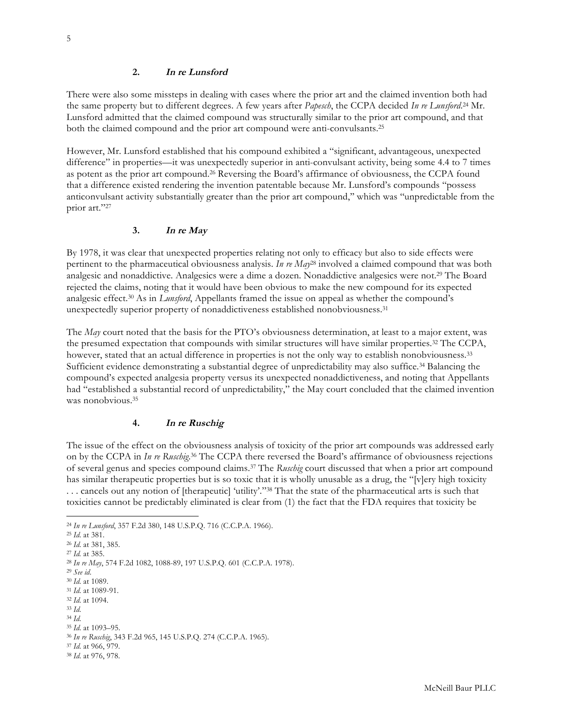#### **2. In re Lunsford**

There were also some missteps in dealing with cases where the prior art and the claimed invention both had the same property but to different degrees. A few years after *Papesch*, the CCPA decided *In re Lunsford*. <sup>24</sup> Mr. Lunsford admitted that the claimed compound was structurally similar to the prior art compound, and that both the claimed compound and the prior art compound were anti-convulsants.25

However, Mr. Lunsford established that his compound exhibited a "significant, advantageous, unexpected difference" in properties—it was unexpectedly superior in anti-convulsant activity, being some 4.4 to 7 times as potent as the prior art compound.26 Reversing the Board's affirmance of obviousness, the CCPA found that a difference existed rendering the invention patentable because Mr. Lunsford's compounds "possess anticonvulsant activity substantially greater than the prior art compound,'' which was ''unpredictable from the prior art."27

#### **3. In re May**

By 1978, it was clear that unexpected properties relating not only to efficacy but also to side effects were pertinent to the pharmaceutical obviousness analysis. *In re May*<sup>28</sup> involved a claimed compound that was both analgesic and nonaddictive. Analgesics were a dime a dozen. Nonaddictive analgesics were not.29 The Board rejected the claims, noting that it would have been obvious to make the new compound for its expected analgesic effect.30 As in *Lunsford*, Appellants framed the issue on appeal as whether the compound's unexpectedly superior property of nonaddictiveness established nonobviousness.31

The *May* court noted that the basis for the PTO's obviousness determination, at least to a major extent, was the presumed expectation that compounds with similar structures will have similar properties.32 The CCPA, however, stated that an actual difference in properties is not the only way to establish nonobviousness.<sup>33</sup> Sufficient evidence demonstrating a substantial degree of unpredictability may also suffice.34 Balancing the compound's expected analgesia property versus its unexpected nonaddictiveness, and noting that Appellants had "established a substantial record of unpredictability," the May court concluded that the claimed invention was nonobvious.<sup>35</sup>

#### **4. In re Ruschig**

The issue of the effect on the obviousness analysis of toxicity of the prior art compounds was addressed early on by the CCPA in *In re Ruschig*. <sup>36</sup> The CCPA there reversed the Board's affirmance of obviousness rejections of several genus and species compound claims.37 The *Ruschig* court discussed that when a prior art compound has similar therapeutic properties but is so toxic that it is wholly unusable as a drug, the "[v]ery high toxicity . . . cancels out any notion of [therapeutic] 'utility'."38 That the state of the pharmaceutical arts is such that toxicities cannot be predictably eliminated is clear from (1) the fact that the FDA requires that toxicity be

l

<sup>24</sup> *In re Lunsford*, 357 F.2d 380, 148 U.S.P.Q. 716 (C.C.P.A. 1966).

<sup>25</sup> *Id*. at 381.

<sup>26</sup> *Id*. at 381, 385.

<sup>27</sup> *Id.* at 385.

<sup>28</sup> *In re May*, 574 F.2d 1082, 1088-89, 197 U.S.P.Q. 601 (C.C.P.A. 1978).

<sup>29</sup> *See id*.

<sup>30</sup> *Id*. at 1089.

<sup>31</sup> *Id*. at 1089-91. <sup>32</sup> *Id*. at 1094.

<sup>33</sup> *Id*.

<sup>34</sup> *Id*.

<sup>35</sup> *Id*. at 1093–95.

<sup>36</sup> *In re Ruschig*, 343 F.2d 965, 145 U.S.P.Q. 274 (C.C.P.A. 1965).

<sup>37</sup> *Id*. at 966, 979.

<sup>38</sup> *Id*. at 976, 978.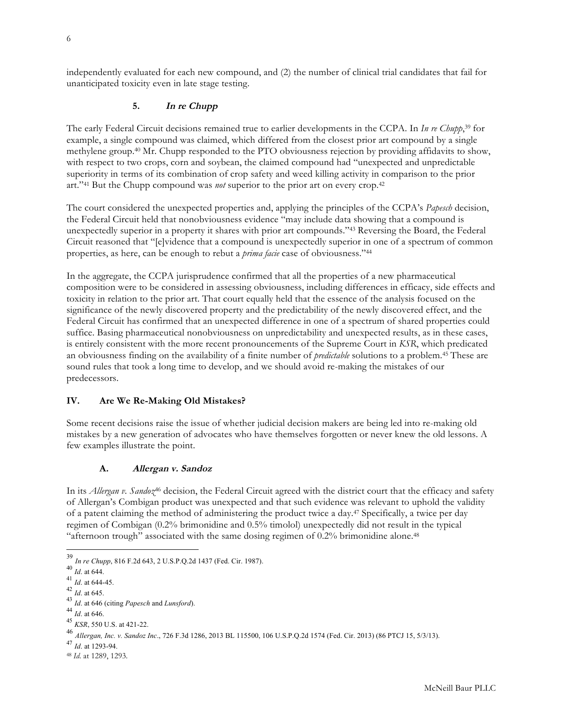independently evaluated for each new compound, and (2) the number of clinical trial candidates that fail for unanticipated toxicity even in late stage testing.

## **5. In re Chupp**

The early Federal Circuit decisions remained true to earlier developments in the CCPA. In *In re Chupp*, <sup>39</sup> for example, a single compound was claimed, which differed from the closest prior art compound by a single methylene group.40 Mr. Chupp responded to the PTO obviousness rejection by providing affidavits to show, with respect to two crops, corn and soybean, the claimed compound had "unexpected and unpredictable superiority in terms of its combination of crop safety and weed killing activity in comparison to the prior art."41 But the Chupp compound was *not* superior to the prior art on every crop.42

The court considered the unexpected properties and, applying the principles of the CCPA's *Papesch* decision, the Federal Circuit held that nonobviousness evidence "may include data showing that a compound is unexpectedly superior in a property it shares with prior art compounds."43 Reversing the Board, the Federal Circuit reasoned that "[e]vidence that a compound is unexpectedly superior in one of a spectrum of common properties, as here, can be enough to rebut a *prima facie* case of obviousness."44

In the aggregate, the CCPA jurisprudence confirmed that all the properties of a new pharmaceutical composition were to be considered in assessing obviousness, including differences in efficacy, side effects and toxicity in relation to the prior art. That court equally held that the essence of the analysis focused on the significance of the newly discovered property and the predictability of the newly discovered effect, and the Federal Circuit has confirmed that an unexpected difference in one of a spectrum of shared properties could suffice. Basing pharmaceutical nonobviousness on unpredictability and unexpected results, as in these cases, is entirely consistent with the more recent pronouncements of the Supreme Court in *KSR*, which predicated an obviousness finding on the availability of a finite number of *predictable* solutions to a problem.45 These are sound rules that took a long time to develop, and we should avoid re-making the mistakes of our predecessors.

#### **IV. Are We Re-Making Old Mistakes?**

Some recent decisions raise the issue of whether judicial decision makers are being led into re-making old mistakes by a new generation of advocates who have themselves forgotten or never knew the old lessons. A few examples illustrate the point.

#### **A. Allergan v. Sandoz**

In its *Allergan v. Sandoz*<sup>46</sup> decision, the Federal Circuit agreed with the district court that the efficacy and safety of Allergan's Combigan product was unexpected and that such evidence was relevant to uphold the validity of a patent claiming the method of administering the product twice a day.47 Specifically, a twice per day regimen of Combigan (0.2% brimonidine and 0.5% timolol) unexpectedly did not result in the typical "afternoon trough" associated with the same dosing regimen of 0.2% brimonidine alone.48

 <sup>39</sup> *In re Chupp*, 816 F.2d 643, 2 U.S.P.Q.2d 1437 (Fed. Cir. 1987).

 $^{40}$  *Id.* at 644.

 $^{41}$  *Id.* at 644-45.<br><sup>42</sup> *Id.* at 645.

<sup>42</sup> *Id*. at 645. <sup>43</sup> *Id*. at 646 (citing *Papesch* and *Lunsford*).

<sup>44</sup> *Id*. at 646.

<sup>45</sup> *KSR*, 550 U.S. at 421-22.

<sup>46</sup> *Allergan, Inc. v. Sandoz Inc*., 726 F.3d 1286, 2013 BL 115500, 106 U.S.P.Q.2d 1574 (Fed. Cir. 2013) (86 PTCJ 15, 5/3/13).

<sup>47</sup> *Id*. at 1293-94.

<sup>48</sup> *Id*. at 1289, 1293.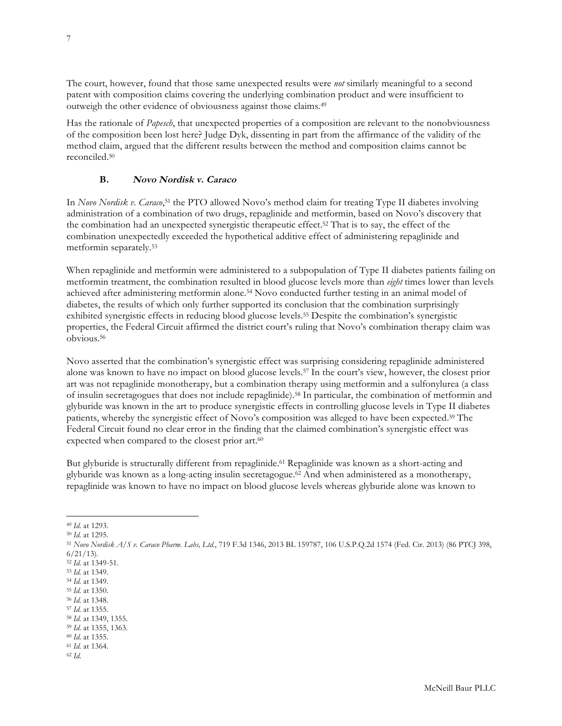The court, however, found that those same unexpected results were *not* similarly meaningful to a second patent with composition claims covering the underlying combination product and were insufficient to outweigh the other evidence of obviousness against those claims.49

Has the rationale of *Papesch*, that unexpected properties of a composition are relevant to the nonobviousness of the composition been lost here? Judge Dyk, dissenting in part from the affirmance of the validity of the method claim, argued that the different results between the method and composition claims cannot be reconciled.50

# **B. Novo Nordisk v. Caraco**

In *Novo Nordisk v. Caraco*,51 the PTO allowed Novo's method claim for treating Type II diabetes involving administration of a combination of two drugs, repaglinide and metformin, based on Novo's discovery that the combination had an unexpected synergistic therapeutic effect.52 That is to say, the effect of the combination unexpectedly exceeded the hypothetical additive effect of administering repaglinide and metformin separately.53

When repaglinide and metformin were administered to a subpopulation of Type II diabetes patients failing on metformin treatment, the combination resulted in blood glucose levels more than *eight* times lower than levels achieved after administering metformin alone.54 Novo conducted further testing in an animal model of diabetes, the results of which only further supported its conclusion that the combination surprisingly exhibited synergistic effects in reducing blood glucose levels.55 Despite the combination's synergistic properties, the Federal Circuit affirmed the district court's ruling that Novo's combination therapy claim was obvious.56

Novo asserted that the combination's synergistic effect was surprising considering repaglinide administered alone was known to have no impact on blood glucose levels.57 In the court's view, however, the closest prior art was not repaglinide monotherapy, but a combination therapy using metformin and a sulfonylurea (a class of insulin secretagogues that does not include repaglinide).58 In particular, the combination of metformin and glyburide was known in the art to produce synergistic effects in controlling glucose levels in Type II diabetes patients, whereby the synergistic effect of Novo's composition was alleged to have been expected.59 The Federal Circuit found no clear error in the finding that the claimed combination's synergistic effect was expected when compared to the closest prior art.<sup>60</sup>

But glyburide is structurally different from repaglinide.<sup>61</sup> Repaglinide was known as a short-acting and glyburide was known as a long-acting insulin secretagogue.62 And when administered as a monotherapy, repaglinide was known to have no impact on blood glucose levels whereas glyburide alone was known to

<sup>56</sup> *Id*. at 1348.

<sup>58</sup> *Id*. at 1349, 1355.

- <sup>60</sup> *Id*. at 1355.
- <sup>61</sup> *Id*. at 1364. <sup>62</sup> *Id*.

l <sup>49</sup> *Id*. at 1293.

<sup>50</sup> *Id*. at 1295.

<sup>51</sup> *Novo Nordisk A/S v. Caraco Pharm. Labs, Ltd.*, 719 F.3d 1346, 2013 BL 159787, 106 U.S.P.Q.2d 1574 (Fed. Cir. 2013) (86 PTCJ 398,  $6/21/13$ ).

<sup>52</sup> *Id*. at 1349-51.

<sup>53</sup> *Id*. at 1349. <sup>54</sup> *Id*. at 1349.

<sup>55</sup> *Id*. at 1350.

<sup>57</sup> *Id*. at 1355.

<sup>59</sup> *Id*. at 1355, 1363.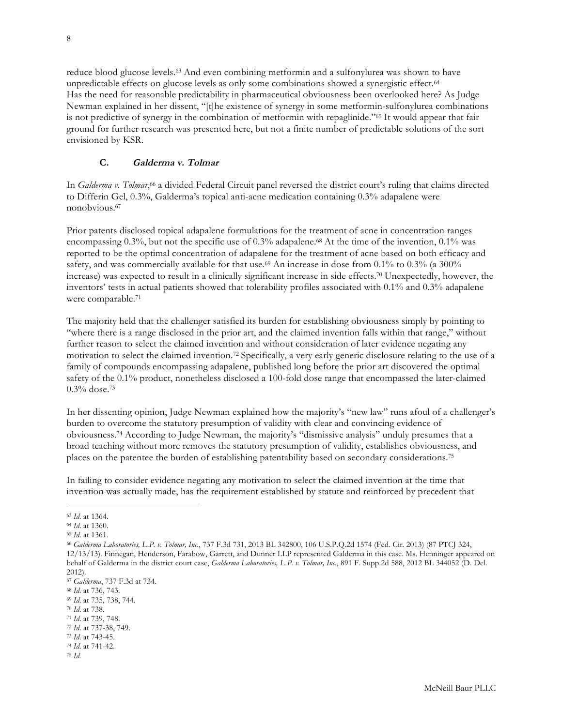reduce blood glucose levels.63 And even combining metformin and a sulfonylurea was shown to have unpredictable effects on glucose levels as only some combinations showed a synergistic effect.<sup>64</sup> Has the need for reasonable predictability in pharmaceutical obviousness been overlooked here? As Judge Newman explained in her dissent, "[t]he existence of synergy in some metformin-sulfonylurea combinations is not predictive of synergy in the combination of metformin with repaglinide."65 It would appear that fair ground for further research was presented here, but not a finite number of predictable solutions of the sort envisioned by KSR.

## **C. Galderma v. Tolmar**

In *Galderma v. Tolmar*,<sup>66</sup> a divided Federal Circuit panel reversed the district court's ruling that claims directed to Differin Gel, 0.3%, Galderma's topical anti-acne medication containing 0.3% adapalene were nonobvious.67

Prior patents disclosed topical adapalene formulations for the treatment of acne in concentration ranges encompassing 0.3%, but not the specific use of 0.3% adapalene.<sup>68</sup> At the time of the invention, 0.1% was reported to be the optimal concentration of adapalene for the treatment of acne based on both efficacy and safety, and was commercially available for that use.<sup>69</sup> An increase in dose from 0.1% to 0.3% (a 300%) increase) was expected to result in a clinically significant increase in side effects.70 Unexpectedly, however, the inventors' tests in actual patients showed that tolerability profiles associated with 0.1% and 0.3% adapalene were comparable.71

The majority held that the challenger satisfied its burden for establishing obviousness simply by pointing to "where there is a range disclosed in the prior art, and the claimed invention falls within that range," without further reason to select the claimed invention and without consideration of later evidence negating any motivation to select the claimed invention.72 Specifically, a very early generic disclosure relating to the use of a family of compounds encompassing adapalene, published long before the prior art discovered the optimal safety of the 0.1% product, nonetheless disclosed a 100-fold dose range that encompassed the later-claimed 0.3% dose.73

In her dissenting opinion, Judge Newman explained how the majority's "new law" runs afoul of a challenger's burden to overcome the statutory presumption of validity with clear and convincing evidence of obviousness.74 According to Judge Newman, the majority's "dismissive analysis" unduly presumes that a broad teaching without more removes the statutory presumption of validity, establishes obviousness, and places on the patentee the burden of establishing patentability based on secondary considerations.75

In failing to consider evidence negating any motivation to select the claimed invention at the time that invention was actually made, has the requirement established by statute and reinforced by precedent that

<sup>63</sup> *Id*. at 1364.

<sup>64</sup> *Id*. at 1360.

<sup>65</sup> *Id*. at 1361.

<sup>66</sup> *Galderma Laboratories, L.P. v. Tolmar, Inc.*, 737 F.3d 731, 2013 BL 342800, 106 U.S.P.Q.2d 1574 (Fed. Cir. 2013) (87 PTCJ 324, 12/13/13). Finnegan, Henderson, Farabow, Garrett, and Dunner LLP represented Galderma in this case. Ms. Henninger appeared on behalf of Galderma in the district court case, *Galderma Laboratories, L.P. v. Tolmar, Inc.*, 891 F. Supp.2d 588, 2012 BL 344052 (D. Del. 2012).

<sup>67</sup> *Galderma*, 737 F.3d at 734.

<sup>68</sup> *Id*. at 736, 743.

<sup>69</sup> *Id*. at 735, 738, 744.

<sup>70</sup> *Id*. at 738.

<sup>71</sup> *Id*. at 739, 748.

<sup>72</sup> *Id*. at 737-38, 749.

<sup>73</sup> *Id*. at 743-45.

<sup>74</sup> *Id*. at 741-42. <sup>75</sup> *Id*.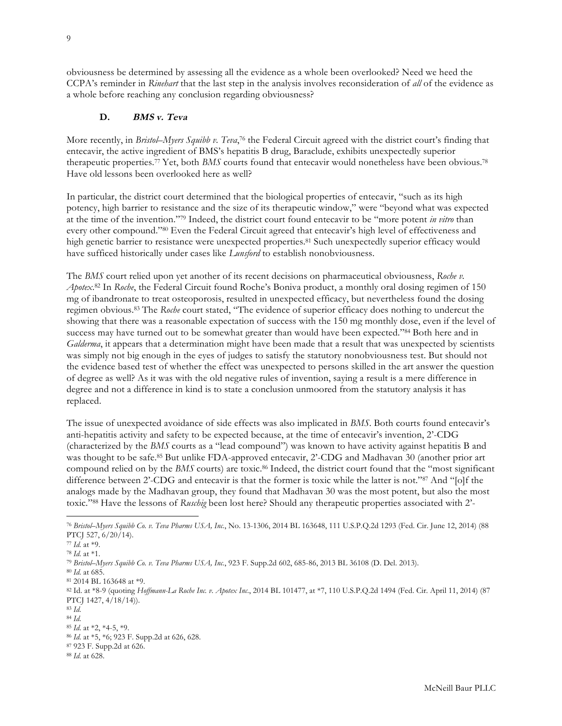obviousness be determined by assessing all the evidence as a whole been overlooked? Need we heed the CCPA's reminder in *Rinehart* that the last step in the analysis involves reconsideration of *all* of the evidence as a whole before reaching any conclusion regarding obviousness?

#### **D. BMS v. Teva**

More recently, in *Bristol–Myers Squibb v. Teva*,<sup>76</sup> the Federal Circuit agreed with the district court's finding that entecavir, the active ingredient of BMS's hepatitis B drug, Baraclude, exhibits unexpectedly superior therapeutic properties.77 Yet, both *BMS* courts found that entecavir would nonetheless have been obvious.78 Have old lessons been overlooked here as well?

In particular, the district court determined that the biological properties of entecavir, "such as its high potency, high barrier to resistance and the size of its therapeutic window," were "beyond what was expected at the time of the invention."79 Indeed, the district court found entecavir to be "more potent *in vitro* than every other compound."80 Even the Federal Circuit agreed that entecavir's high level of effectiveness and high genetic barrier to resistance were unexpected properties.<sup>81</sup> Such unexpectedly superior efficacy would have sufficed historically under cases like *Lunsford* to establish nonobviousness.

The *BMS* court relied upon yet another of its recent decisions on pharmaceutical obviousness, *Roche v. Apotex*. <sup>82</sup> In *Roche*, the Federal Circuit found Roche's Boniva product, a monthly oral dosing regimen of 150 mg of ibandronate to treat osteoporosis, resulted in unexpected efficacy, but nevertheless found the dosing regimen obvious.83 The *Roche* court stated, "The evidence of superior efficacy does nothing to undercut the showing that there was a reasonable expectation of success with the 150 mg monthly dose, even if the level of success may have turned out to be somewhat greater than would have been expected."84 Both here and in *Galderma*, it appears that a determination might have been made that a result that was unexpected by scientists was simply not big enough in the eyes of judges to satisfy the statutory nonobviousness test. But should not the evidence based test of whether the effect was unexpected to persons skilled in the art answer the question of degree as well? As it was with the old negative rules of invention, saying a result is a mere difference in degree and not a difference in kind is to state a conclusion unmoored from the statutory analysis it has replaced.

The issue of unexpected avoidance of side effects was also implicated in *BMS*. Both courts found entecavir's anti-hepatitis activity and safety to be expected because, at the time of entecavir's invention, 2'-CDG (characterized by the *BMS* courts as a "lead compound") was known to have activity against hepatitis B and was thought to be safe.<sup>85</sup> But unlike FDA-approved entecavir, 2'-CDG and Madhavan 30 (another prior art compound relied on by the *BMS* courts) are toxic.<sup>86</sup> Indeed, the district court found that the "most significant difference between 2'-CDG and entecavir is that the former is toxic while the latter is not."87 And "[o]f the analogs made by the Madhavan group, they found that Madhavan 30 was the most potent, but also the most toxic."88 Have the lessons of *Ruschig* been lost here? Should any therapeutic properties associated with 2'-

l

<sup>76</sup> *Bristol–Myers Squibb Co. v. Teva Pharms USA, Inc.*, No. 13-1306, 2014 BL 163648, 111 U.S.P.Q.2d 1293 (Fed. Cir. June 12, 2014) (88 PTCJ 527, 6/20/14).

<sup>77</sup> *Id*. at \*9.

<sup>78</sup> *Id*. at \*1.

<sup>79</sup> *Bristol–Myers Squibb Co. v. Teva Pharms USA, Inc.*, 923 F. Supp.2d 602, 685-86, 2013 BL 36108 (D. Del. 2013).

<sup>80</sup> *Id*. at 685.

<sup>81</sup> 2014 BL 163648 at \*9.

<sup>82</sup> Id. at \*8-9 (quoting *Hoffmann-La Roche Inc. v. Apotex Inc.*, 2014 BL 101477, at \*7, 110 U.S.P.Q.2d 1494 (Fed. Cir. April 11, 2014) (87 PTCJ 1427, 4/18/14)).

<sup>83</sup> *Id*.

<sup>84</sup> *Id*.

<sup>85</sup> *Id*. at \*2, \*4-5, \*9.

<sup>86</sup> *Id*. at \*5, \*6; 923 F. Supp.2d at 626, 628.

<sup>87</sup> 923 F. Supp.2d at 626.

<sup>88</sup> *Id*. at 628.